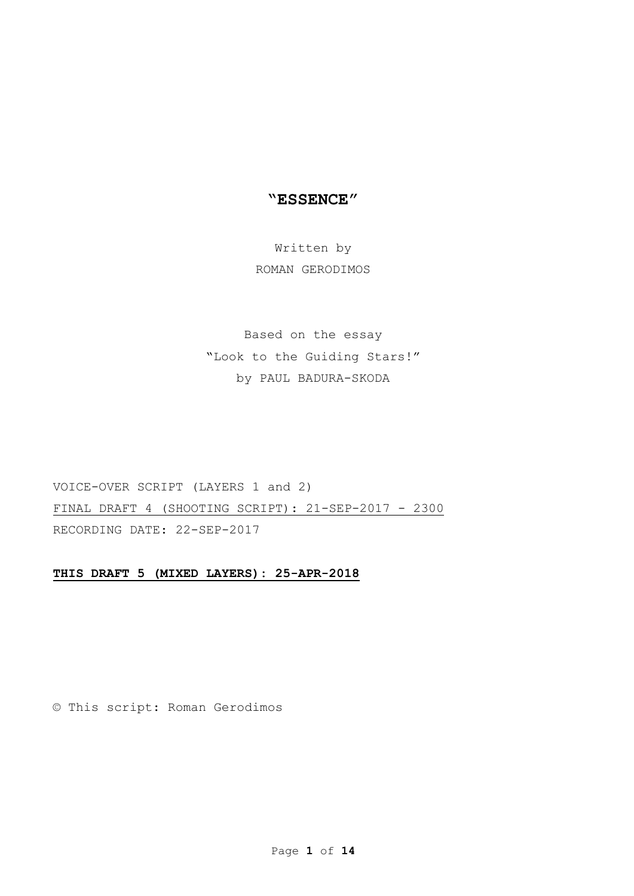# "ESSENCE"

# Written by ROMAN GERODIMOS

# Based on the essay

"Look to the Guiding Stars!" by PAUL BADURA-SKODA

VOICE-OVER SCRIPT (LAYERS 1 and 2) FINAL DRAFT 4 (SHOOTING SCRIPT): 21-SEP-2017 - 2300 RECORDING DATE: 22-SEP-2017

## THIS DRAFT 5 (MIXED LAYERS): 25-APR-2018

© This script: Roman Gerodimos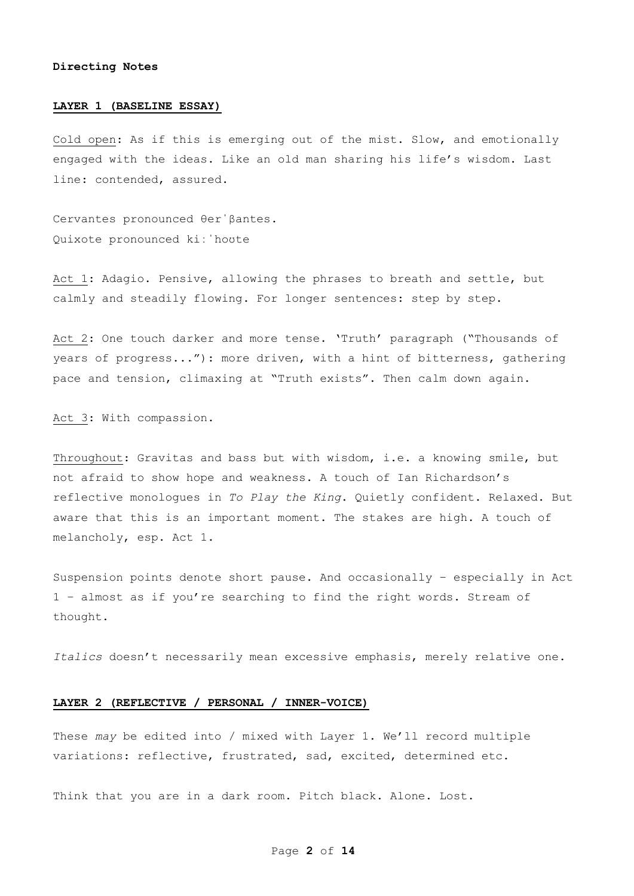#### Directing Notes

#### LAYER 1 (BASELINE ESSAY)

Cold open: As if this is emerging out of the mist. Slow, and emotionally engaged with the ideas. Like an old man sharing his life's wisdom. Last line: contended, assured.

Cervantes pronounced θerˈβantes. Quixote pronounced kiːˈhoʊte

Act 1: Adagio. Pensive, allowing the phrases to breath and settle, but calmly and steadily flowing. For longer sentences: step by step.

Act 2: One touch darker and more tense. 'Truth' paragraph ("Thousands of years of progress..."): more driven, with a hint of bitterness, gathering pace and tension, climaxing at "Truth exists". Then calm down again.

Act 3: With compassion.

Throughout: Gravitas and bass but with wisdom, i.e. a knowing smile, but not afraid to show hope and weakness. A touch of Ian Richardson's reflective monologues in To Play the King. Quietly confident. Relaxed. But aware that this is an important moment. The stakes are high. A touch of melancholy, esp. Act 1.

Suspension points denote short pause. And occasionally – especially in Act 1 – almost as if you're searching to find the right words. Stream of thought.

Italics doesn't necessarily mean excessive emphasis, merely relative one.

### LAYER 2 (REFLECTIVE / PERSONAL / INNER-VOICE)

These may be edited into / mixed with Layer 1. We'll record multiple variations: reflective, frustrated, sad, excited, determined etc.

Think that you are in a dark room. Pitch black. Alone. Lost.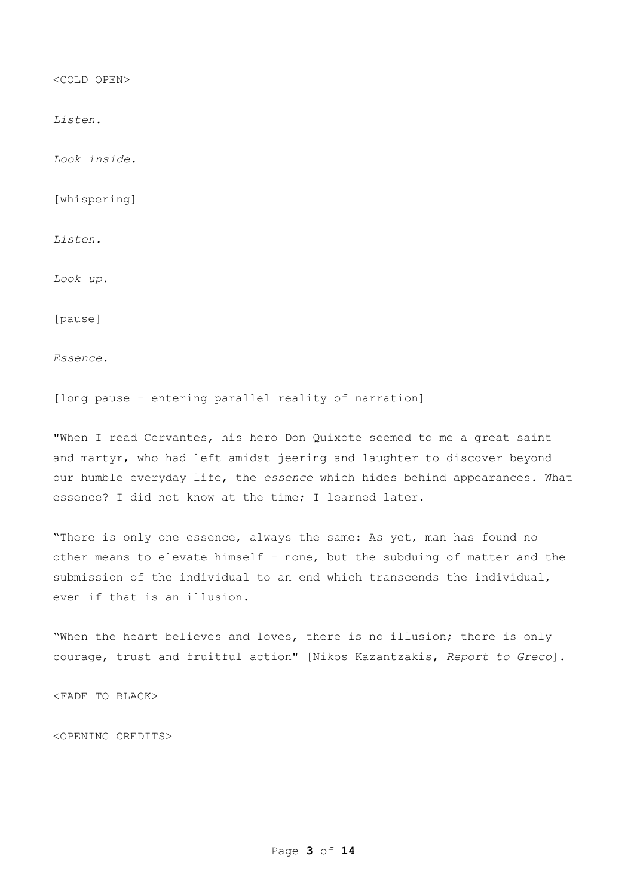<COLD OPEN>

Listen.

Look inside.

[whispering]

Listen.

Look up.

[pause]

Essence.

[long pause – entering parallel reality of narration]

"When I read Cervantes, his hero Don Quixote seemed to me a great saint and martyr, who had left amidst jeering and laughter to discover beyond our humble everyday life, the essence which hides behind appearances. What essence? I did not know at the time; I learned later.

"There is only one essence, always the same: As yet, man has found no other means to elevate himself – none, but the subduing of matter and the submission of the individual to an end which transcends the individual, even if that is an illusion.

"When the heart believes and loves, there is no illusion; there is only courage, trust and fruitful action" [Nikos Kazantzakis, Report to Greco].

<FADE TO BLACK>

<OPENING CREDITS>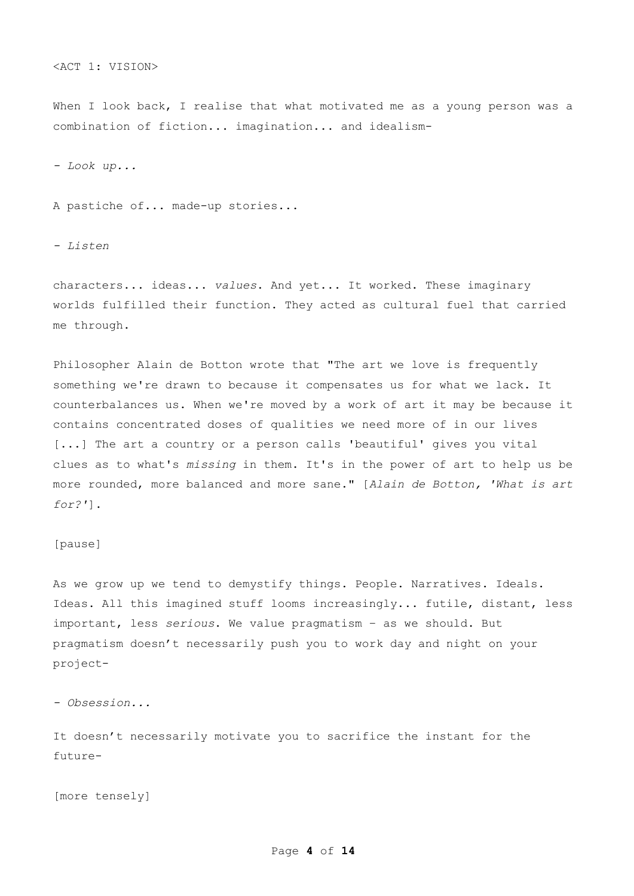<ACT 1: VISION>

When I look back, I realise that what motivated me as a young person was a combination of fiction... imagination... and idealism-

- Look up...

A pastiche of... made-up stories...

- Listen

characters... ideas... values. And yet... It worked. These imaginary worlds fulfilled their function. They acted as cultural fuel that carried me through.

Philosopher Alain de Botton wrote that "The art we love is frequently something we're drawn to because it compensates us for what we lack. It counterbalances us. When we're moved by a work of art it may be because it contains concentrated doses of qualities we need more of in our lives [...] The art a country or a person calls 'beautiful' gives you vital clues as to what's missing in them. It's in the power of art to help us be more rounded, more balanced and more sane." [Alain de Botton, 'What is art for?'].

### [pause]

As we grow up we tend to demystify things. People. Narratives. Ideals. Ideas. All this imagined stuff looms increasingly... futile, distant, less important, less serious. We value pragmatism – as we should. But pragmatism doesn't necessarily push you to work day and night on your project-

- Obsession...

It doesn't necessarily motivate you to sacrifice the instant for the future-

[more tensely]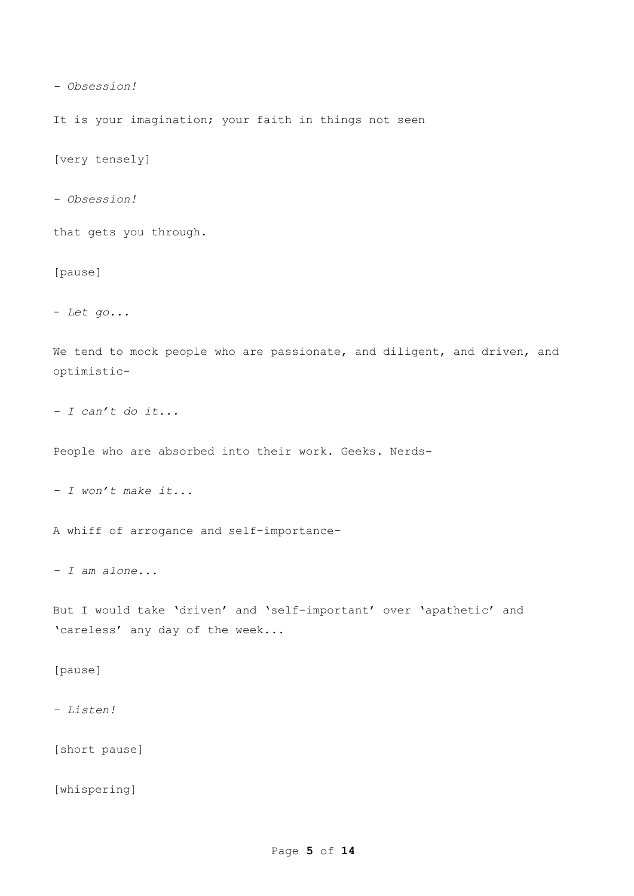```
- Obsession!
```
It is your imagination; your faith in things not seen

[very tensely]

- Obsession!

that gets you through.

[pause]

- Let go...

We tend to mock people who are passionate, and diligent, and driven, and optimistic-

- I can't do it...

People who are absorbed into their work. Geeks. Nerds-

- I won't make it...

A whiff of arrogance and self-importance-

- I am alone...

But I would take 'driven' and 'self-important' over 'apathetic' and 'careless' any day of the week...

[pause]

- Listen!

[short pause]

[whispering]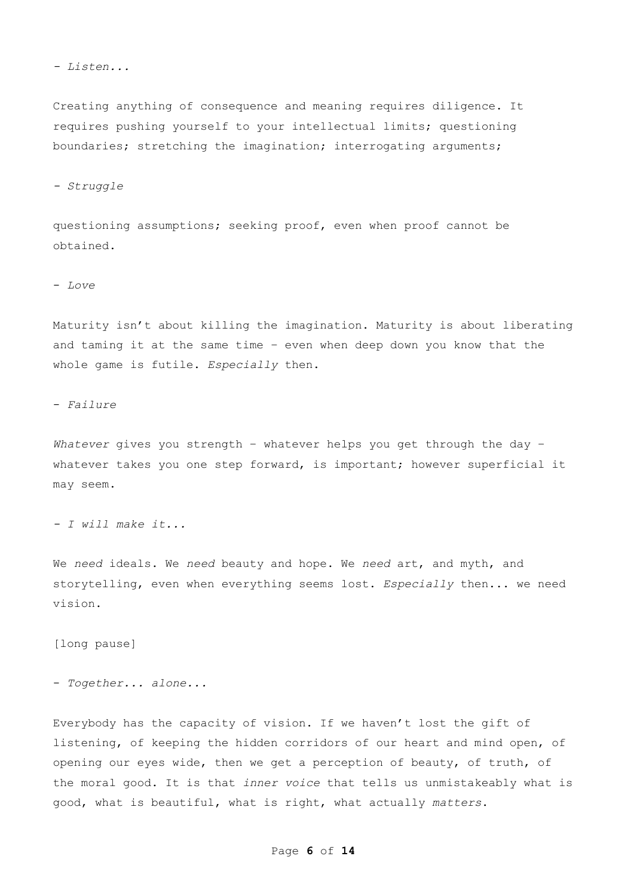- Listen...

Creating anything of consequence and meaning requires diligence. It requires pushing yourself to your intellectual limits; questioning boundaries; stretching the imagination; interrogating arguments;

- Struggle

questioning assumptions; seeking proof, even when proof cannot be obtained.

- Love

Maturity isn't about killing the imagination. Maturity is about liberating and taming it at the same time – even when deep down you know that the whole game is futile. Especially then.

- Failure

Whatever gives you strength - whatever helps you get through the day whatever takes you one step forward, is important; however superficial it may seem.

- I will make it...

We need ideals. We need beauty and hope. We need art, and myth, and storytelling, even when everything seems lost. Especially then... we need vision.

[long pause]

- Together... alone...

Everybody has the capacity of vision. If we haven't lost the gift of listening, of keeping the hidden corridors of our heart and mind open, of opening our eyes wide, then we get a perception of beauty, of truth, of the moral good. It is that inner voice that tells us unmistakeably what is good, what is beautiful, what is right, what actually matters.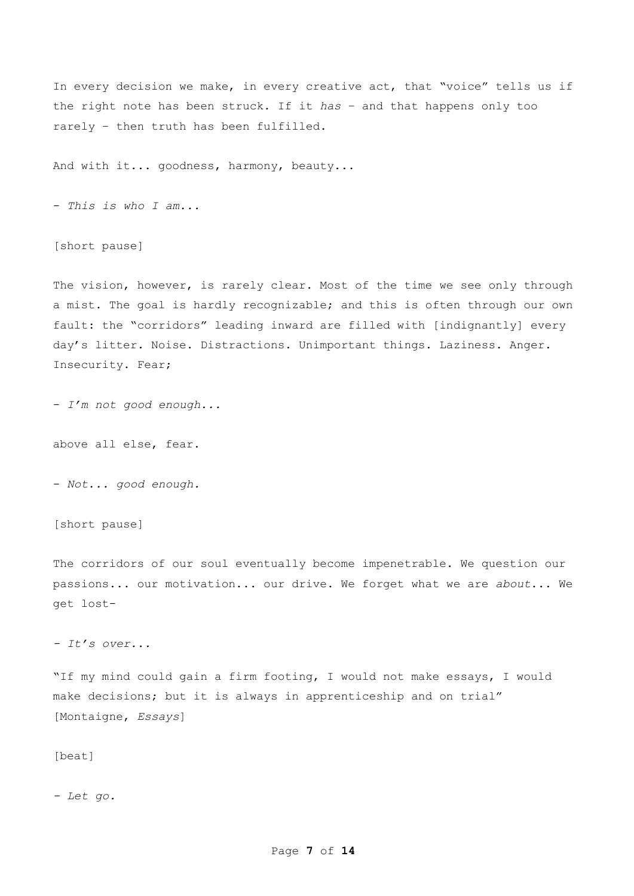In every decision we make, in every creative act, that "voice" tells us if the right note has been struck. If it has – and that happens only too rarely – then truth has been fulfilled.

And with it... goodness, harmony, beauty...

- This is who I am...

[short pause]

The vision, however, is rarely clear. Most of the time we see only through a mist. The goal is hardly recognizable; and this is often through our own fault: the "corridors" leading inward are filled with [indignantly] every day's litter. Noise. Distractions. Unimportant things. Laziness. Anger. Insecurity. Fear;

- I'm not good enough...

above all else, fear.

- Not... good enough.

[short pause]

The corridors of our soul eventually become impenetrable. We question our passions... our motivation... our drive. We forget what we are about... We get lost-

- It's over...

"If my mind could gain a firm footing, I would not make essays, I would make decisions; but it is always in apprenticeship and on trial" [Montaigne, *Essays*]

[beat]

- Let go.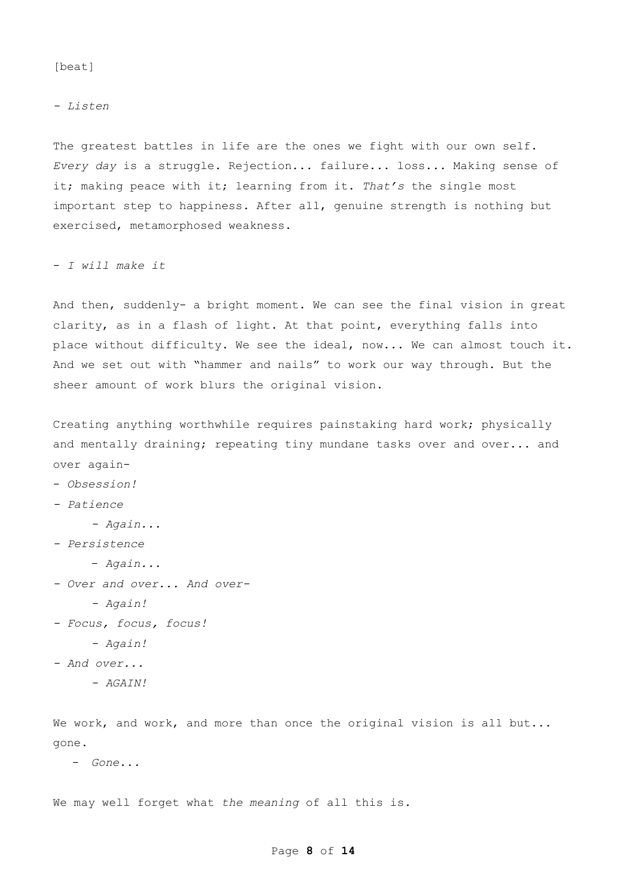### [beat]

- Listen

The greatest battles in life are the ones we fight with our own self. Every day is a struggle. Rejection... failure... loss... Making sense of it; making peace with it; learning from it. That's the single most important step to happiness. After all, genuine strength is nothing but exercised, metamorphosed weakness.

- I will make it

And then, suddenly- a bright moment. We can see the final vision in great clarity, as in a flash of light. At that point, everything falls into place without difficulty. We see the ideal, now... We can almost touch it. And we set out with "hammer and nails" to work our way through. But the sheer amount of work blurs the original vision.

Creating anything worthwhile requires painstaking hard work; physically and mentally draining; repeating tiny mundane tasks over and over... and over again-

- Obsession!

- Patience

- Again...

- Persistence

- Over and over... And over-

- Focus, focus, focus!
	- Again!
- And over...
	- AGAIN!

We work, and work, and more than once the original vision is all but... gone.

- Gone...

We may well forget what the meaning of all this is.

 <sup>-</sup> Again...

 <sup>-</sup> Again!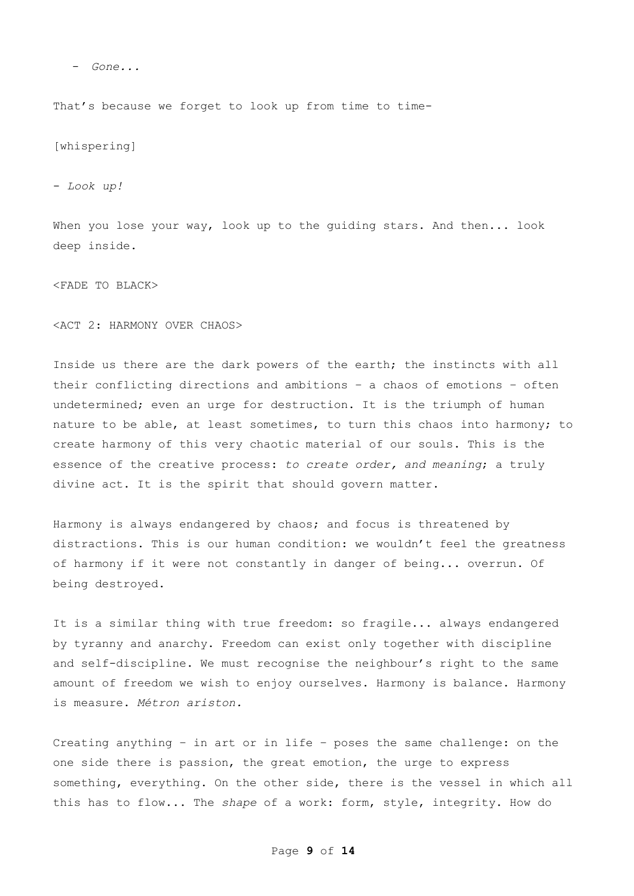- Gone...

That's because we forget to look up from time to time-

[whispering]

- Look up!

When you lose your way, look up to the guiding stars. And then... look deep inside.

<FADE TO BLACK>

<ACT 2: HARMONY OVER CHAOS>

Inside us there are the dark powers of the earth; the instincts with all their conflicting directions and ambitions – a chaos of emotions – often undetermined; even an urge for destruction. It is the triumph of human nature to be able, at least sometimes, to turn this chaos into harmony; to create harmony of this very chaotic material of our souls. This is the essence of the creative process: to create order, and meaning; a truly divine act. It is the spirit that should govern matter.

Harmony is always endangered by chaos; and focus is threatened by distractions. This is our human condition: we wouldn't feel the greatness of harmony if it were not constantly in danger of being... overrun. Of being destroyed.

It is a similar thing with true freedom: so fragile... always endangered by tyranny and anarchy. Freedom can exist only together with discipline and self-discipline. We must recognise the neighbour's right to the same amount of freedom we wish to enjoy ourselves. Harmony is balance. Harmony is measure. Métron ariston.

Creating anything – in art or in life – poses the same challenge: on the one side there is passion, the great emotion, the urge to express something, everything. On the other side, there is the vessel in which all this has to flow... The shape of a work: form, style, integrity. How do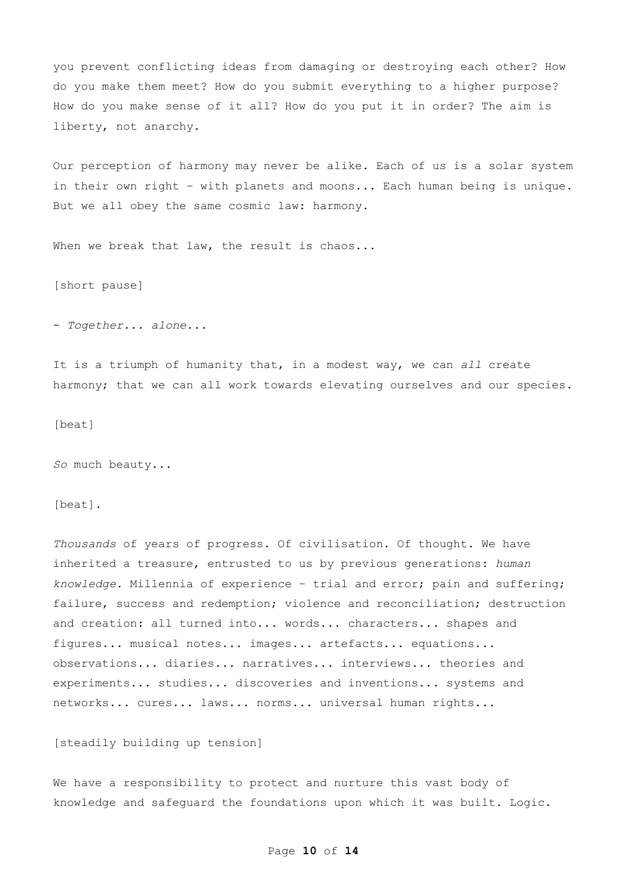you prevent conflicting ideas from damaging or destroying each other? How do you make them meet? How do you submit everything to a higher purpose? How do you make sense of it all? How do you put it in order? The aim is liberty, not anarchy.

Our perception of harmony may never be alike. Each of us is a solar system in their own right – with planets and moons... Each human being is unique. But we all obey the same cosmic law: harmony.

When we break that law, the result is chaos...

[short pause]

- Together... alone...

It is a triumph of humanity that, in a modest way, we can all create harmony; that we can all work towards elevating ourselves and our species.

[beat]

So much beauty...

[beat].

Thousands of years of progress. Of civilisation. Of thought. We have inherited a treasure, entrusted to us by previous generations: human knowledge. Millennia of experience – trial and error; pain and suffering; failure, success and redemption; violence and reconciliation; destruction and creation: all turned into... words... characters... shapes and figures... musical notes... images... artefacts... equations... observations... diaries... narratives... interviews... theories and experiments... studies... discoveries and inventions... systems and networks... cures... laws... norms... universal human rights...

[steadily building up tension]

We have a responsibility to protect and nurture this vast body of knowledge and safeguard the foundations upon which it was built. Logic.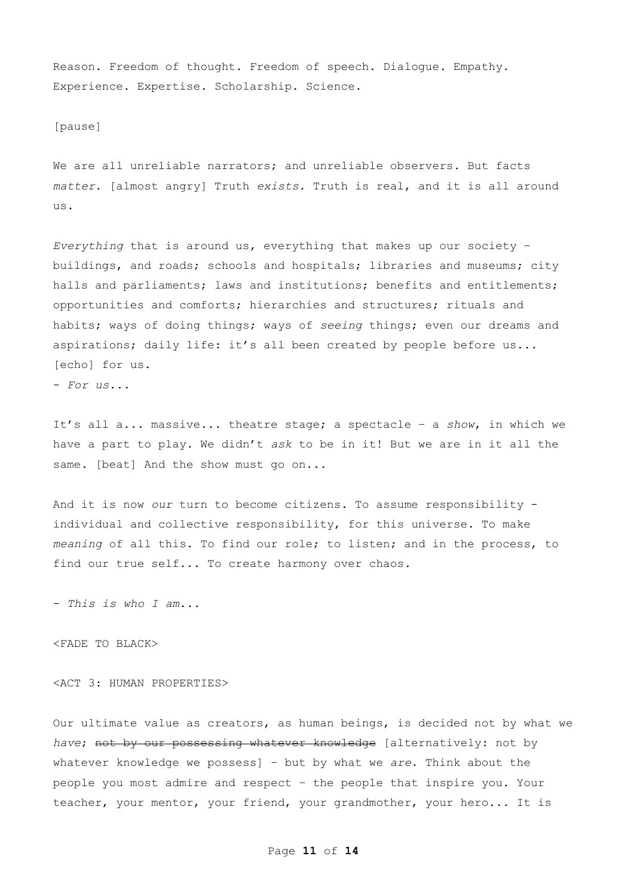Reason. Freedom of thought. Freedom of speech. Dialogue. Empathy. Experience. Expertise. Scholarship. Science.

[pause]

We are all unreliable narrators; and unreliable observers. But facts matter. [almost angry] Truth exists. Truth is real, and it is all around us.

Everything that is around us, everything that makes up our society  $$ buildings, and roads; schools and hospitals; libraries and museums; city halls and parliaments; laws and institutions; benefits and entitlements; opportunities and comforts; hierarchies and structures; rituals and habits; ways of doing things; ways of seeing things; even our dreams and aspirations; daily life: it's all been created by people before us... [echo] for us.

- For us...

It's all a... massive... theatre stage; a spectacle - a show, in which we have a part to play. We didn't ask to be in it! But we are in it all the same. [beat] And the show must go on...

And it is now our turn to become citizens. To assume responsibility individual and collective responsibility, for this universe. To make meaning of all this. To find our role; to listen; and in the process, to find our true self... To create harmony over chaos.

- This is who I am...

<FADE TO BLACK>

<ACT 3: HUMAN PROPERTIES>

Our ultimate value as creators, as human beings, is decided not by what we have; not by our possessing whatever knowledge [alternatively: not by whatever knowledge we possess] - but by what we  $are$ . Think about the people you most admire and respect – the people that inspire you. Your teacher, your mentor, your friend, your grandmother, your hero... It is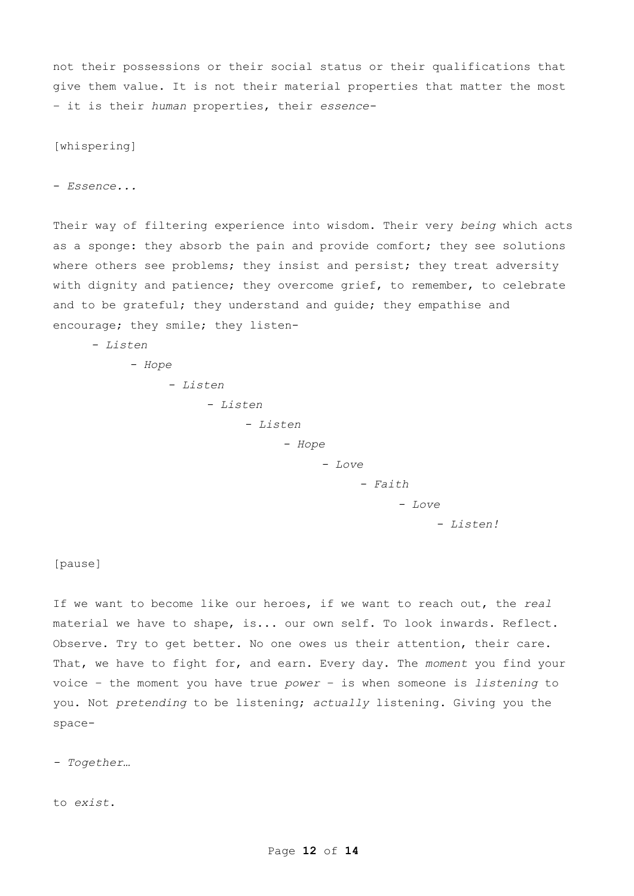not their possessions or their social status or their qualifications that give them value. It is not their material properties that matter the most – it is their human properties, their essence-

[whispering]

- Essence...

Their way of filtering experience into wisdom. Their very being which acts as a sponge: they absorb the pain and provide comfort; they see solutions where others see problems; they insist and persist; they treat adversity with dignity and patience; they overcome grief, to remember, to celebrate and to be grateful; they understand and guide; they empathise and encourage; they smile; they listen-

- Listen

 - Hope - Listen - Listen - Listen - Hope - Love - Faith - Love - Listen!

[pause]

If we want to become like our heroes, if we want to reach out, the real material we have to shape, is... our own self. To look inwards. Reflect. Observe. Try to get better. No one owes us their attention, their care. That, we have to fight for, and earn. Every day. The moment you find your voice  $-$  the moment you have true power  $-$  is when someone is listening to you. Not pretending to be listening; actually listening. Giving you the space-

- Together…

to exist.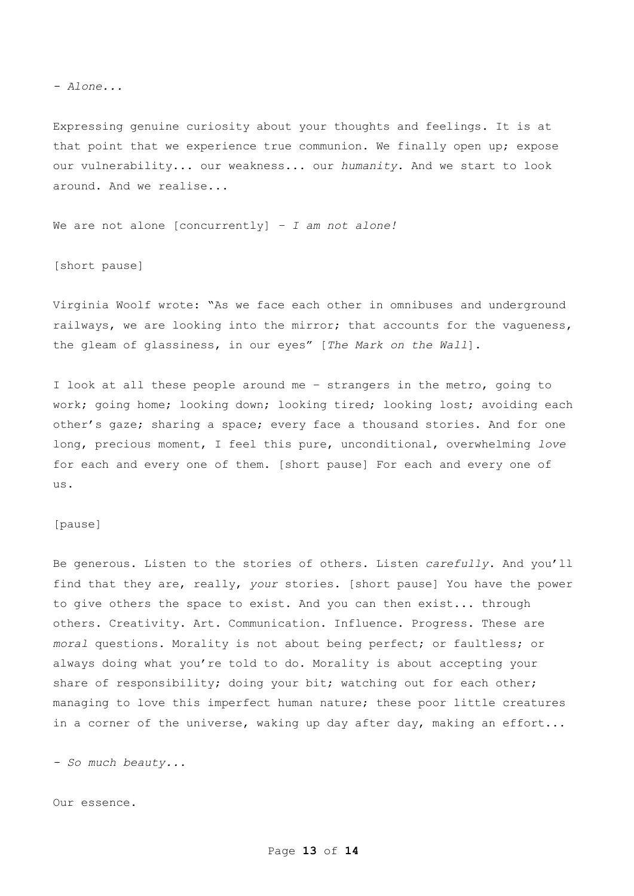- Alone...

Expressing genuine curiosity about your thoughts and feelings. It is at that point that we experience true communion. We finally open up; expose our vulnerability... our weakness... our humanity. And we start to look around. And we realise...

We are not alone [concurrently]  $- I$  am not alone!

[short pause]

Virginia Woolf wrote: "As we face each other in omnibuses and underground railways, we are looking into the mirror; that accounts for the vaqueness, the gleam of glassiness, in our eyes" [The Mark on the Wall].

I look at all these people around me – strangers in the metro, going to work; going home; looking down; looking tired; looking lost; avoiding each other's gaze; sharing a space; every face a thousand stories. And for one long, precious moment, I feel this pure, unconditional, overwhelming love for each and every one of them. [short pause] For each and every one of us.

[pause]

Be generous. Listen to the stories of others. Listen carefully. And you'll find that they are, really, your stories. [short pause] You have the power to give others the space to exist. And you can then exist... through others. Creativity. Art. Communication. Influence. Progress. These are moral questions. Morality is not about being perfect; or faultless; or always doing what you're told to do. Morality is about accepting your share of responsibility; doing your bit; watching out for each other; managing to love this imperfect human nature; these poor little creatures in a corner of the universe, waking up day after day, making an effort...

- So much beauty...

Our essence.